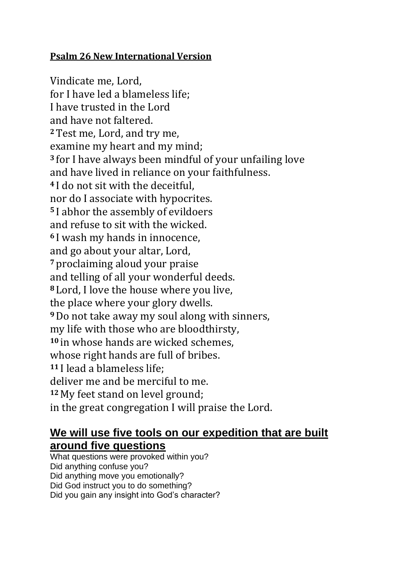## **Psalm 26 New International Version**

Vindicate me, Lord, for I have led a blameless life; I have trusted in the Lord and have not faltered. **<sup>2</sup>**Test me, Lord, and try me, examine my heart and my mind; **<sup>3</sup>** for I have always been mindful of your unfailing love and have lived in reliance on your faithfulness. **<sup>4</sup>** I do not sit with the deceitful, nor do I associate with hypocrites. **<sup>5</sup>** I abhor the assembly of evildoers and refuse to sit with the wicked. **<sup>6</sup>** I wash my hands in innocence, and go about your altar, Lord, **<sup>7</sup>** proclaiming aloud your praise and telling of all your wonderful deeds. **<sup>8</sup>** Lord, I love the house where you live, the place where your glory dwells. **<sup>9</sup>**Do not take away my soul along with sinners, my life with those who are bloodthirsty, **<sup>10</sup>** in whose hands are wicked schemes, whose right hands are full of bribes. **<sup>11</sup>** I lead a blameless life; deliver me and be merciful to me. **<sup>12</sup>** My feet stand on level ground; in the great congregation I will praise the Lord.

## **We will use five tools on our expedition that are built around five questions**

What questions were provoked within you? Did anything confuse you? Did anything move you emotionally? Did God instruct you to do something? Did you gain any insight into God's character?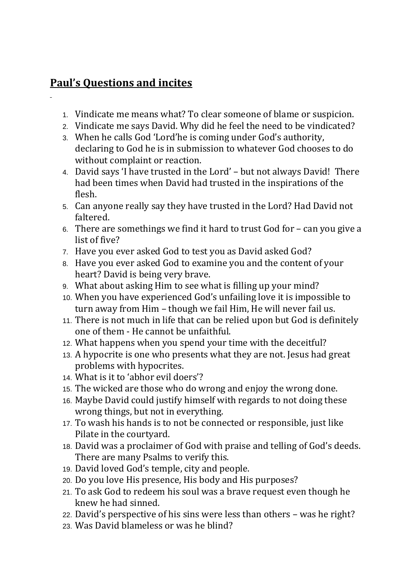## **Paul's Questions and incites**

- 1. Vindicate me means what? To clear someone of blame or suspicion.
- 2. Vindicate me says David. Why did he feel the need to be vindicated?
- 3. When he calls God 'Lord'he is coming under God's authority, declaring to God he is in submission to whatever God chooses to do without complaint or reaction.
- 4. David says 'I have trusted in the Lord' but not always David! There had been times when David had trusted in the inspirations of the flesh.
- 5. Can anyone really say they have trusted in the Lord? Had David not faltered.
- 6. There are somethings we find it hard to trust God for can you give a list of five?
- 7. Have you ever asked God to test you as David asked God?
- 8. Have you ever asked God to examine you and the content of your heart? David is being very brave.
- 9. What about asking Him to see what is filling up your mind?
- 10. When you have experienced God's unfailing love it is impossible to turn away from Him – though we fail Him, He will never fail us.
- 11. There is not much in life that can be relied upon but God is definitely one of them - He cannot be unfaithful.
- 12. What happens when you spend your time with the deceitful?
- 13. A hypocrite is one who presents what they are not. Jesus had great problems with hypocrites.
- 14. What is it to 'abhor evil doers'?
- 15. The wicked are those who do wrong and enjoy the wrong done.
- 16. Maybe David could justify himself with regards to not doing these wrong things, but not in everything.
- 17. To wash his hands is to not be connected or responsible, just like Pilate in the courtyard.
- 18. David was a proclaimer of God with praise and telling of God's deeds. There are many Psalms to verify this.
- 19. David loved God's temple, city and people.
- 20. Do you love His presence, His body and His purposes?
- 21. To ask God to redeem his soul was a brave request even though he knew he had sinned.
- 22. David's perspective of his sins were less than others was he right?
- 23. Was David blameless or was he blind?